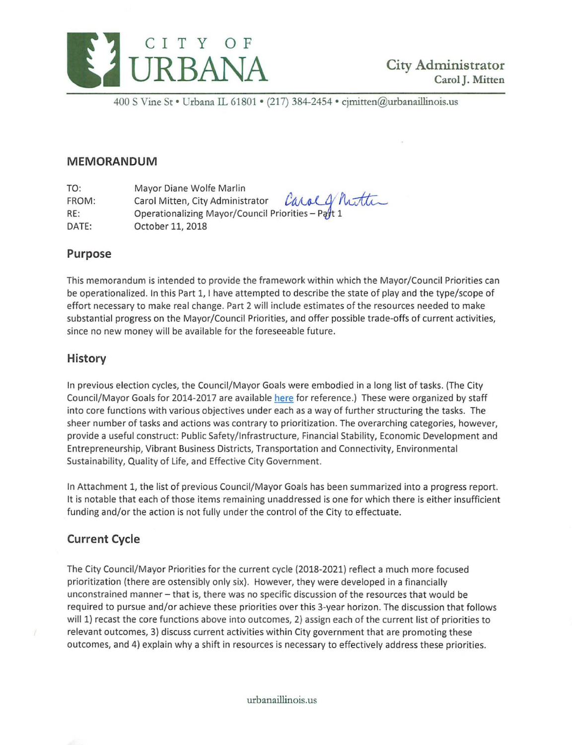

400 S Vine St · Urbana IL 61801 · (217) 384-2454 · cjmitten@urbanaillinois.us

## **MEMORANDUM**

TO: FROM: Mayor Diane Wolfe Marlin Carol Mitten, City Administrator *Carol G* / Mutter RE: Cperationalizing Mayor/Council Priorities – Pa DATE: October 11, 2018

## **Purpose**

This memorandum is intended to provide the framework within which the Mayor/ Council Priorities can be operationalized. In this Part 1, I have attempted to describe the state of play and the type/scope of effort necessary to make real change. Part 2 will include estimates of the resources needed to make substantial progress on the Mayor/Council Priorities, and offer possible trade-offs of current activities, since no new money will be available for the foreseeable future.

# **History**

In previous election cycles, the Council/Mayor Goals were embodied in a long list of tasks. (The City Council/Mayor Goals for 2014-2017 are available here for reference.) These were organized by staff into core functions with various objectives under each as a way of further structuring the tasks. The sheer number of tasks and actions was contrary to prioritization. The overarching categories, however, provide a useful construct: Public Safety/Infrastructure, Financial Stability, Economic Development and Entrepreneurship, Vibrant Business Districts, Transportation and Connectivity, Environmental Sustainability, Quality of Life, and Effective City Government.

In Attachment 1, the list of previous Council/Mayor Goals has been summarized into a progress report. It is notable that each of those items remaining unaddressed is one for which there is either insufficient funding and/or the action is not fully under the control of the City to effectuate.

# **Current Cycle**

The City Council/Mayor Priorities for the current cycle (2018-2021) reflect a much more focused prioritization (there are ostensibly only six). However, they were developed in a financially unconstrained manner - that is, there was no specific discussion of the resources that would be required to pursue and/or achieve these priorities over this 3-year horizon. The discussion that follows will 1) recast the core functions above into outcomes, 2) assign each of the current list of priorities to relevant outcomes, 3) discuss current activities within City government that are promoting these outcomes, and 4) explain why a shift in resources is necessary to effectively address these priorities.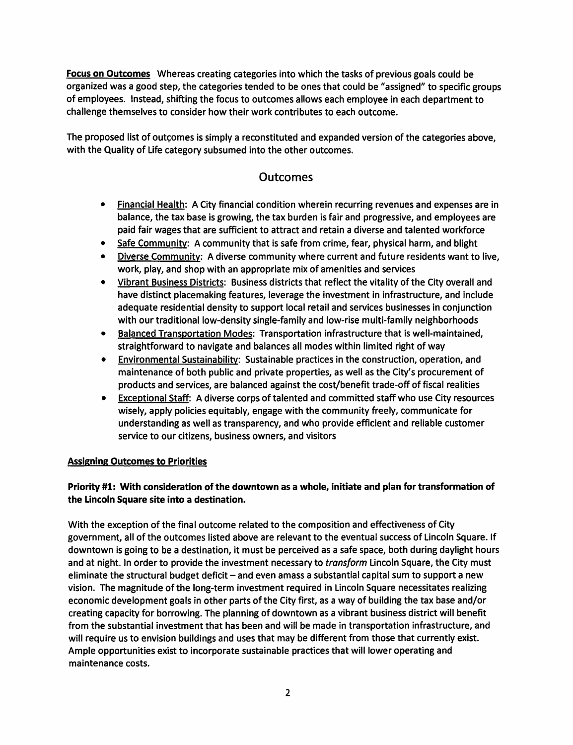Focus on Outcomes Whereas creating categories into which the tasks of previous goals could be organized was a good step, the categories tended to be ones that could be "assigned" to specific groups of employees. Instead, shifting the focus to outcomes allows each employee in each department to challenge themselves to consider how their work contributes to each outcome.

The proposed list of outcomes is simply a reconstituted and expanded version of the categories above, with the Quality of Life category subsumed into the other outcomes.

# Outcomes

- Financial Health: A City financial condition wherein recurring revenues and expenses are in balance, the tax base is growing, the tax burden is fair and progressive, and employees are paid fair wages that are sufficient to attract and retain a diverse and talented workforce
- Safe Community: A community that is safe from crime, fear, physical harm, and blight
- Diverse Community: A diverse community where current and future residents want to live, work, play, and shop with an appropriate mix of amenities and services
- Vibrant Business Districts: Business districts that reflect the vitality of the City overall and have distinct placemaking features, leverage the investment in infrastructure, and include adequate residential density to support local retail and services businesses in conjunction with our traditional low-density single-family and low-rise multi-family neighborhoods
- Balanced Transportation Modes: Transportation infrastructure that is well-maintained, straightforward to navigate and balances all modes within limited right of way
- Environmental Sustainabilitv: Sustainable practices in the construction, operation, and maintenance of both public and private properties, as well as the City's procurement of products and services, are balanced against the cost/benefit trade-off of fiscal realities
- **Exceptional Staff:** A diverse corps of talented and committed staff who use City resources wisely, apply policies equitably, engage with the community freely, communicate for understanding as well as transparency, and who provide efficient and reliable customer service to our citizens, business owners, and visitors

## Assigning Outcomes to Priorities

## Priority #1: With consideration of the downtown as a whole, initiate and plan for transformation of the Lincoln Square site into a destination.

With the exception of the final outcome related to the composition and effectiveness of City government, all of the outcomes listed above are relevant to the eventual success of Lincoln Square. If downtown is going to be a destination, it must be perceived as a safe space, both during daylight hours and at night. In order to provide the investment necessary to *transform* Lincoln Square, the City must eliminate the structural budget deficit - and even amass a substantial capital sum to support a new vision. The magnitude of the long-term investment required in Lincoln Square necessitates realizing economic development goals in other parts of the City first, as a way of building the tax base and/or creating capacity for borrowing. The planning of downtown as a vibrant business district will benefit from the substantial investment that has been and will be made in transportation infrastructure, and will require us to envision buildings and uses that may be different from those that currently exist. Ample opportunities exist to incorporate sustainable practices that will lower operating and maintenance costs.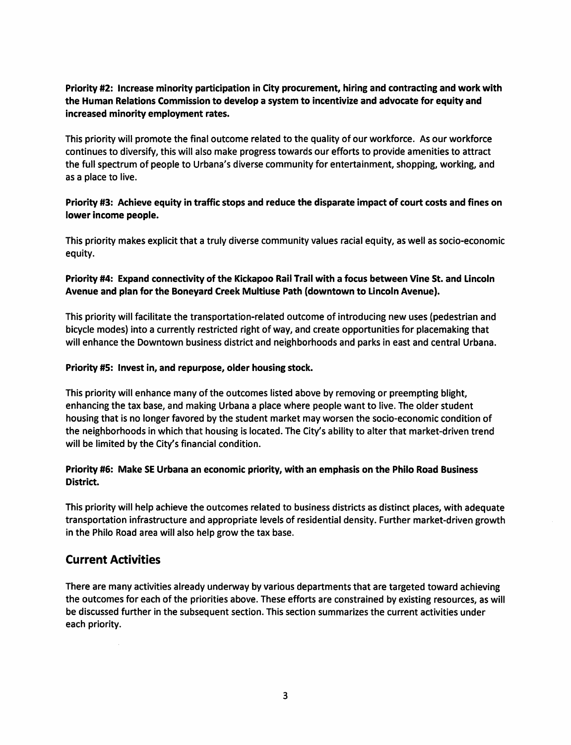## Priority #2: Increase minority participation in City procurement, hiring and contracting and work with the Human Relations Commission to develop a system to incentivize and advocate for equity and increased minority employment rates.

This priority will promote the final outcome related to the quality of our workforce. As our workforce continues to diversify, this will also make progress towards our efforts to provide amenities to attract the full spectrum of people to Urbana's diverse community for entertainment, shopping, working, and as a place to live.

### Priority #3: Achieve equity in traffic stops and reduce the disparate impact of court costs and fines on lower income people.

This priority makes explicit that a truly diverse community values racial equity, as well as socio-economic equity.

### Priority #4: Expand connectivity of the Kickapoo Rail Trail with a focus between Vine St. and Lincoln Avenue and plan for the Boneyard Creek Multiuse Path (downtown to Lincoln Avenue).

This priority will facilitate the transportation-related outcome of introducing new uses (pedestrian and bicycle modes) into a currently restricted right of way, and create opportunities for placemaking that will enhance the Downtown business district and neighborhoods and parks in east and central Urbana.

#### Priority #5: Invest in, and repurpose, older housing stock.

This priority will enhance many of the outcomes listed above by removing or preempting blight, enhancing the tax base, and making Urbana a place where people want to live. The older student housing that is no longer favored by the student market may worsen the socio-economic condition of the neighborhoods in which that housing is located. The City's ability to alter that market-driven trend will be limited by the City's financial condition.

#### Priority #6: Make SE Urbana an economic priority, with an emphasis on the Philo Road Business District.

This priority will help achieve the outcomes related to business districts as distinct places, with adequate transportation infrastructure and appropriate levels of residential density. Further market-driven growth in the Philo Road area will also help grow the tax base.

# Current Activities

There are many activities already underway by various departments that are targeted toward achieving the outcomes for each of the priorities above. These efforts are constrained by existing resources, as will be discussed further in the subsequent section. This section summarizes the current activities under each priority.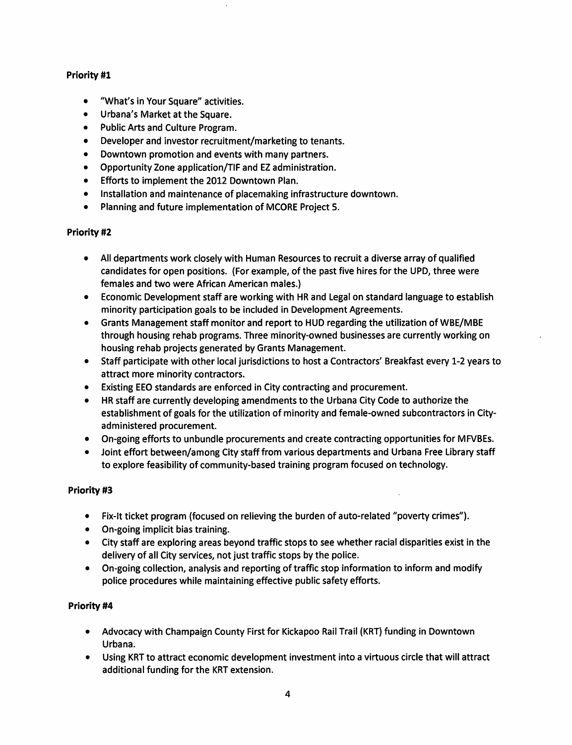### Priority #1

- "What's in Your Square" activities.
- Urbana's Market at the Square.
- Public Arts and Culture Program.
- Developer and investor recruitment/marketing to tenants.
- Downtown promotion and events with many partners.
- Opportunity Zone application/TIF and EZ administration.
- Efforts to implement the 2012 Downtown Plan.
- Installation and maintenance of placemaking infrastructure downtown.
- Planning and future implementation of MCORE Project 5.

#### Priority #2

- All departments work closely with Human Resources to recruit a diverse array of qualified candidates for open positions. {For example, of the past five hires for the UPD, three were females and two were African American males.}
- Economic Development staff are working with HR and Legal on standard language to establish minority participation goals to be included in Development Agreements.
- Grants Management staff monitor and report to HUD regarding the utilization of WBE/MBE through housing rehab programs. Three minority-owned businesses are currently working on housing rehab projects generated by Grants Management.
- Staff participate with other local jurisdictions to host a Contractors' Breakfast every 1-2 years to attract more minority contractors.
- Existing EEO standards are enforced in City contracting and procurement.
- HR staff are currently developing amendments to the Urbana City Code to authorize the establishment of goals for the utilization of minority and female-owned subcontractors in Cityadministered procurement.
- On-going efforts to unbundle procurements and create contracting opportunities for MFVBEs.
- Joint effort between/among City staff from various departments and Urbana Free Library staff to explore feasibility of community-based training program focused on technology.

#### Priority #3

- Fix-It ticket program {focused on relieving the burden of auto-related "poverty crimes").
- On-going implicit bias training.
- City staff are exploring areas beyond traffic stops to see whether racial disparities exist in the delivery of all City services, not just traffic stops by the police.
- On-going collection, analysis and reporting of traffic stop information to inform and modify police procedures while maintaining effective public safety efforts.

#### Priority #4

- Advocacy with Champaign County First for Kickapoo Rail Trail {KRT} funding in Downtown Urbana.
- Using KRT to attract economic development investment into a virtuous circle that will attract additional funding for the KRT extension.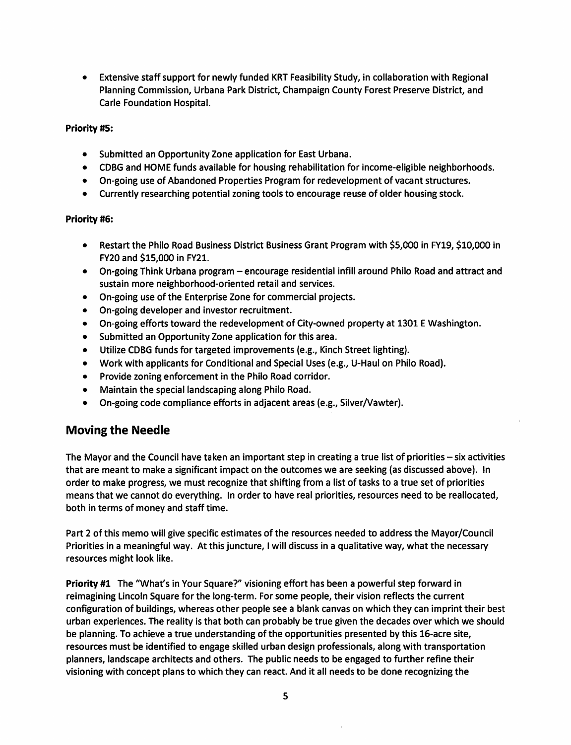• Extensive staff support for newly funded KRT Feasibility Study, in collaboration with Regional Planning Commission, Urbana Park District, Champaign County Forest Preserve District, and Carle Foundation Hospital.

#### Priority #5:

- Submitted an Opportunity Zone application for East Urbana.
- CDBG and HOME funds available for housing rehabilitation for income-eligible neighborhoods.
- On-going use of Abandoned Properties Program for redevelopment of vacant structures.
- Currently researching potential zoning tools to encourage reuse of older housing stock.

#### Priority #6:

- Restart the Philo Road Business District Business Grant Program with \$5,000 in FY19, \$10,000 in FY20 and \$15,000 in FY21.
- On-going Think Urbana program encourage residential infill around Philo Road and attract and sustain more neighborhood-oriented retail and services.
- On-going use of the Enterprise Zone for commercial projects.
- On-going developer and investor recruitment.
- On-going efforts toward the redevelopment of City-owned property at 1301 E Washington.
- Submitted an Opportunity Zone application for this area.
- Utilize CDBG funds for targeted improvements (e.g., Kinch Street lighting).
- Work with applicants for Conditional and Special Uses (e.g., U-Haul on Philo Road).
- Provide zoning enforcement in the Philo Road corridor.
- Maintain the special landscaping along Philo Road.
- On-going code compliance efforts in adjacent areas (e.g., Silver/Vawter).

# Moving the Needle

The Mayor and the Council have taken an important step in creating a true list of priorities - six activities that are meant to make a significant impact on the outcomes we are seeking (as discussed above). In order to make progress, we must recognize that shifting from a list of tasks to a true set of priorities means that we cannot do everything. In order to have real priorities, resources need to be reallocated, both in terms of money and staff time.

Part 2 of this memo will give specific estimates of the resources needed to address the Mayor/Council Priorities in a meaningful way. At this juncture, I will discuss in a qualitative way, what the necessary resources might look like.

Priority #1 The "What's in Your Square?" visioning effort has been a powerful step forward in reimagining Lincoln Square for the long-term. For some people, their vision reflects the current configuration of buildings, whereas other people see a blank canvas on which they can imprint their best urban experiences. The reality is that both can probably be true given the decades over which we should be planning. To achieve a true understanding of the opportunities presented by this 16-acre site, resources must be identified to engage skilled urban design professionals, along with transportation planners, landscape architects and others. The public needs to be engaged to further refine their visioning with concept plans to which they can react. And it all needs to be done recognizing the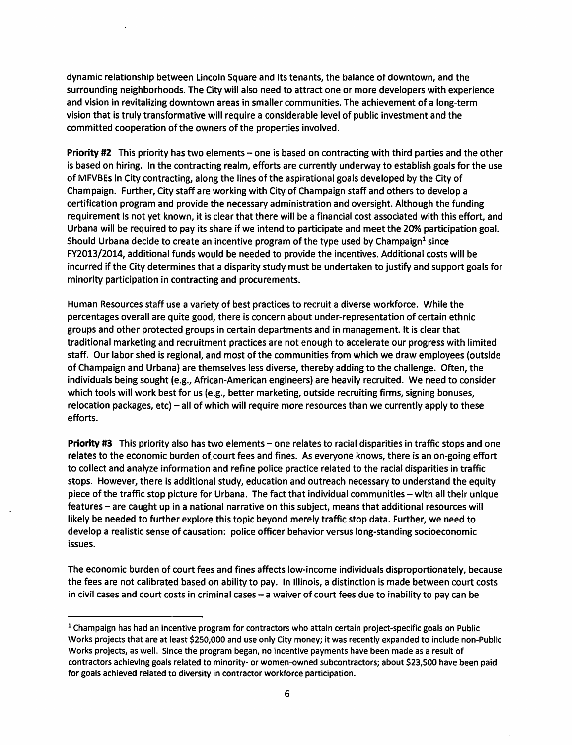dynamic relationship between Lincoln Square and its tenants, the balance of downtown, and the surrounding neighborhoods. The City will also need to attract one or more developers with experience and vision in revitalizing downtown areas in smaller communities. The achievement of a long-term vision that is truly transformative will require a considerable level of public investment and the committed cooperation of the owners of the properties involved.

Priority #2 This priority has two elements - one is based on contracting with third parties and the other is based on hiring. In the contracting realm, efforts are currently underway to establish goals for the use of MFVBEs in City contracting, along the lines of the aspirational goals developed by the City of Champaign. Further, City staff are working with City of Champaign staff and others to develop a certification program and provide the necessary administration and oversight. Although the funding requirement is not yet known, it is clear that there will be a financial cost associated with this effort, and Urbana will be required to pay its share if we intend to participate and meet the 20% participation goal. Should Urbana decide to create an incentive program of the type used by Champaign<sup>1</sup> since FY2013/2014, additional funds would be needed to provide the incentives. Additional costs will be incurred if the City determines that a disparity study must be undertaken to justify and support goals for minority participation in contracting and procurements.

Human Resources staff use a variety of best practices to recruit a diverse workforce. While the percentages overall are quite good, there is concern about under-representation of certain ethnic groups and other protected groups in certain departments and in management. It is clear that traditional marketing and recruitment practices are not enough to accelerate our progress with limited staff. Our labor shed is regional, and most of the communities from which we draw employees (outside of Champaign and Urbana) are themselves less diverse, thereby adding to the challenge. Often, the individuals being sought (e.g., African-American engineers) are heavily recruited. We need to consider which tools will work best for us (e.g., better marketing, outside recruiting firms, signing bonuses, relocation packages, etc) - all of which will require more resources than we currently apply to these efforts.

Priority #3 This priority also has two elements – one relates to racial disparities in traffic stops and one relates to the economic burden of court fees and fines. As everyone knows, there is an on-going effort to collect and analyze information and refine police practice related to the racial disparities in traffic stops. However, there is additional study, education and outreach necessary to understand the equity piece of the traffic stop picture for Urbana. The fact that individual communities - with all their unique features - are caught up in a national narrative on this subject, means that additional resources will likely be needed to further explore this topic beyond merely traffic stop data. Further, we need to develop a realistic sense of causation: police officer behavior versus long-standing socioeconomic issues.

The economic burden of court fees and fines affects low-income individuals disproportionately, because the fees are not calibrated based on ability to pay. In Illinois, a distinction is made between court costs in civil cases and court costs in criminal cases- a waiver of court fees due to inability to pay can be

<sup>&</sup>lt;sup>1</sup> Champaign has had an incentive program for contractors who attain certain project-specific goals on Public Works projects that are at least \$250,000 and use only City money; it was recently expanded to include non-Public Works projects, as well. Since the program began, no incentive payments have been made as a result of contractors achieving goals related to minority- or women-owned subcontractors; about \$23,500 have been paid for goals achieved related to diversity in contractor workforce participation.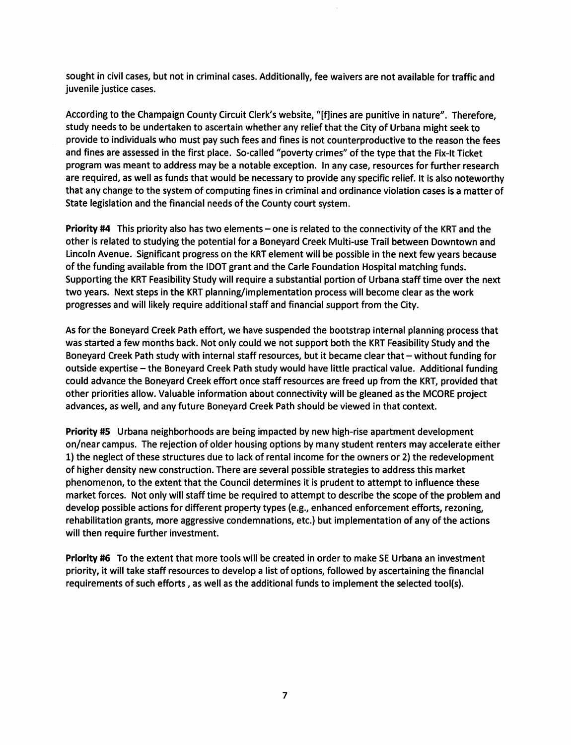sought in civil cases, but not in criminal cases. Additionally, fee waivers are not available for traffic and juvenile justice cases.

According to the Champaign County Circuit Clerk's website, "[f]ines are punitive in nature". Therefore, study needs to be undertaken to ascertain whether any relief that the City of Urbana might seek to provide to individuals who must pay such fees and fines is not counterproductive to the reason the fees and fines are assessed in the first place. So-called "poverty crimes" of the type that the Fix-It Ticket program was meant to address may be a notable exception. In any case, resources for further research are required, as well as funds that would be necessary to provide any specific relief. It is also noteworthy that any change to the system of computing fines in criminal and ordinance violation cases is a matter of State legislation and the financial needs of the County court system.

Priority #4 This priority also has two elements – one is related to the connectivity of the KRT and the other is related to studying the potential for a Boneyard Creek Multi-use Trail between Downtown and Lincoln Avenue. Significant progress on the KRT element will be possible in the next few years because of the funding available from the IDOT grant and the Carle Foundation Hospital matching funds. Supporting the KRT Feasibility Study will require a substantial portion of Urbana staff time over the next two years. Next steps in the KRT planning/implementation process will become clear as the work progresses and will likely require additional staff and financial support from the City.

As for the Boneyard Creek Path effort, we have suspended the bootstrap internal planning process that was started a few months back. Not only could we not support both the KRT Feasibility Study and the Boneyard Creek Path study with internal staff resources, but it became clear that - without funding for outside expertise - the Boneyard Creek Path study would have little practical value. Additional funding could advance the Boneyard Creek effort once staff resources are freed up from the KRT, provided that other priorities allow. Valuable information about connectivity will be gleaned as the MCORE project advances, as well, and any future Boneyard Creek Path should be viewed in that context.

Priority #5 Urbana neighborhoods are being impacted by new high-rise apartment development on/near campus. The rejection of older housing options by many student renters may accelerate either 1) the neglect of these structures due to lack of rental income for the owners or 2) the redevelopment of higher density new construction. There are several possible strategies to address this market phenomenon, to the extent that the Council determines it is prudent to attempt to influence these market forces. Not only will staff time be required to attempt to describe the scope of the problem and develop possible actions for different property types (e.g., enhanced enforcement efforts, rezoning, rehabilitation grants, more aggressive condemnations, etc.) but implementation of any of the actions will then require further investment.

Priority #6 To the extent that more tools will be created in order to make SE Urbana an investment priority, it will take staff resources to develop a list of options, followed by ascertaining the financial requirements of such efforts , as well as the additional funds to implement the selected tool(s).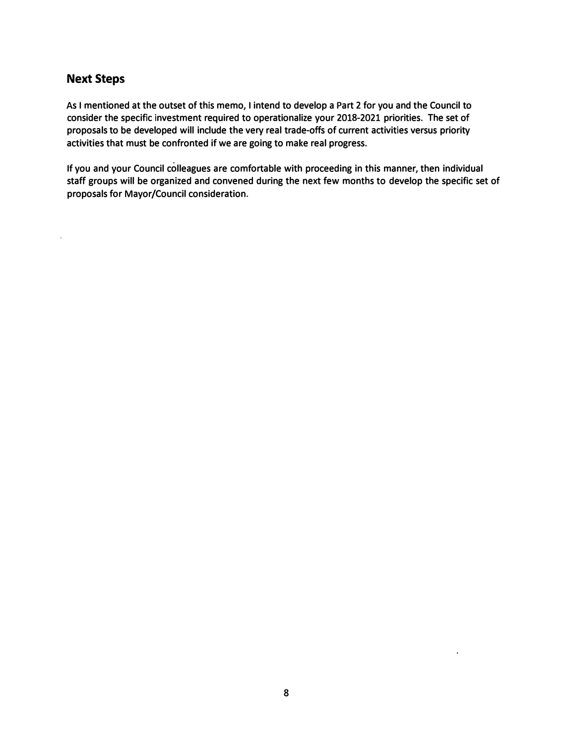# **Next Steps**

Ň.

**As I mentioned at the outset of this memo, I intend to develop a Part 2 for you and the Council to consider the specific investment required to operationalize your 2018-2021 priorities. The set of proposals to be developed will include the very real trade-offs of current activities versus priority activities that must be confronted if we are going to make real progress.** 

**If you and your Council colleagues are comfortable with proceeding in this manner, then individual staff groups will be organized and convened during the next few months to develop the specific set of proposals for Mayor/Council consideration.**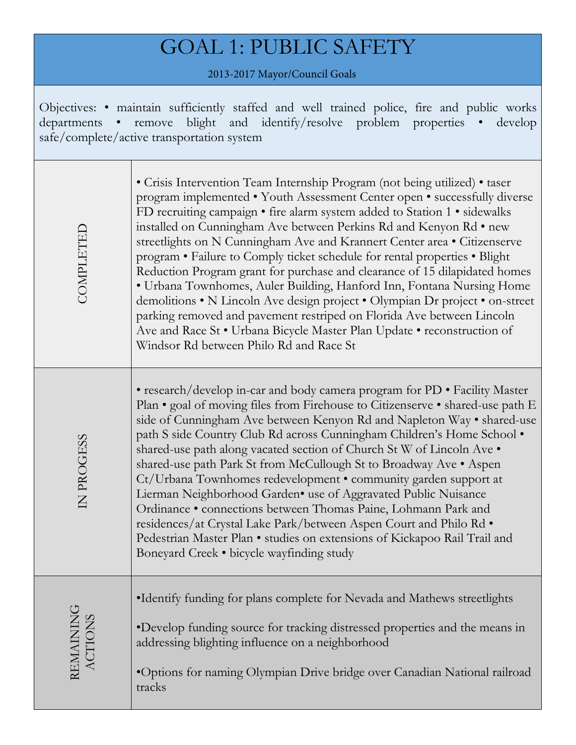# GOAL 1: PUBLIC SAFETY

2013-2017 Mayor/Council Goals

Objectives: • maintain sufficiently staffed and well trained police, fire and public works departments • remove blight and identify/resolve problem properties • develop safe/complete/active transportation system

| COMPLETED            | • Crisis Intervention Team Internship Program (not being utilized) • taser<br>program implemented • Youth Assessment Center open • successfully diverse<br>FD recruiting campaign • fire alarm system added to Station 1 • sidewalks<br>installed on Cunningham Ave between Perkins Rd and Kenyon Rd • new<br>streetlights on N Cunningham Ave and Krannert Center area · Citizenserve<br>program • Failure to Comply ticket schedule for rental properties • Blight<br>Reduction Program grant for purchase and clearance of 15 dilapidated homes<br>· Urbana Townhomes, Auler Building, Hanford Inn, Fontana Nursing Home<br>demolitions • N Lincoln Ave design project • Olympian Dr project • on-street<br>parking removed and pavement restriped on Florida Ave between Lincoln<br>Ave and Race St . Urbana Bicycle Master Plan Update . reconstruction of<br>Windsor Rd between Philo Rd and Race St |
|----------------------|------------------------------------------------------------------------------------------------------------------------------------------------------------------------------------------------------------------------------------------------------------------------------------------------------------------------------------------------------------------------------------------------------------------------------------------------------------------------------------------------------------------------------------------------------------------------------------------------------------------------------------------------------------------------------------------------------------------------------------------------------------------------------------------------------------------------------------------------------------------------------------------------------------|
| IN PROGESS           | • research/develop in-car and body camera program for PD • Facility Master<br>Plan • goal of moving files from Firehouse to Citizenserve • shared-use path E<br>side of Cunningham Ave between Kenyon Rd and Napleton Way • shared-use<br>path S side Country Club Rd across Cunningham Children's Home School .<br>shared-use path along vacated section of Church St W of Lincoln Ave .<br>shared-use path Park St from McCullough St to Broadway Ave . Aspen<br>Ct/Urbana Townhomes redevelopment • community garden support at<br>Lierman Neighborhood Garden• use of Aggravated Public Nuisance<br>Ordinance · connections between Thomas Paine, Lohmann Park and<br>residences/at Crystal Lake Park/between Aspen Court and Philo Rd .<br>Pedestrian Master Plan · studies on extensions of Kickapoo Rail Trail and<br>Boneyard Creek • bicycle wayfinding study                                     |
| REMAINING<br>ACTIONS | •Identify funding for plans complete for Nevada and Mathews streetlights<br>•Develop funding source for tracking distressed properties and the means in<br>addressing blighting influence on a neighborhood<br>•Options for naming Olympian Drive bridge over Canadian National railroad<br>tracks                                                                                                                                                                                                                                                                                                                                                                                                                                                                                                                                                                                                         |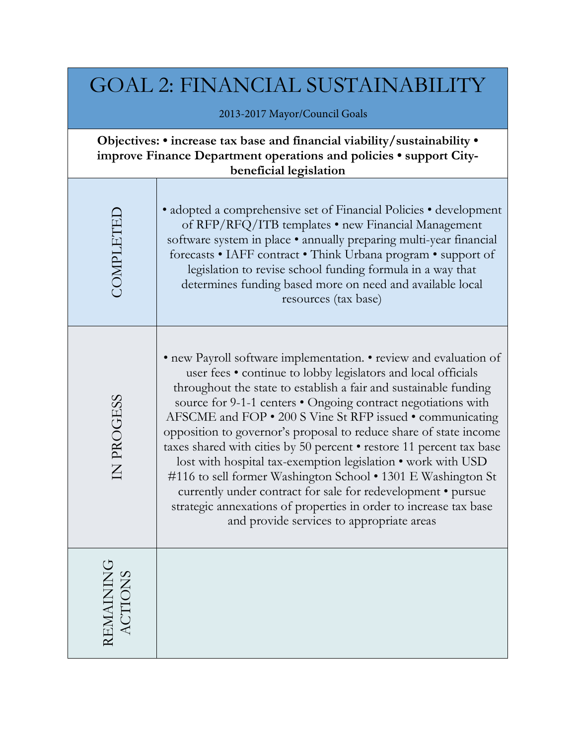| <b>GOAL 2: FINANCIAL SUSTAINABILITY</b><br>2013-2017 Mayor/Council Goals                                                                                                 |                                                                                                                                                                                                                                                                                                                                                                                                                                                                                                                                                                                                                                                                                                                                                                                                     |  |
|--------------------------------------------------------------------------------------------------------------------------------------------------------------------------|-----------------------------------------------------------------------------------------------------------------------------------------------------------------------------------------------------------------------------------------------------------------------------------------------------------------------------------------------------------------------------------------------------------------------------------------------------------------------------------------------------------------------------------------------------------------------------------------------------------------------------------------------------------------------------------------------------------------------------------------------------------------------------------------------------|--|
| Objectives: • increase tax base and financial viability/sustainability •<br>improve Finance Department operations and policies • support City-<br>beneficial legislation |                                                                                                                                                                                                                                                                                                                                                                                                                                                                                                                                                                                                                                                                                                                                                                                                     |  |
| <b>COMPLETEI</b>                                                                                                                                                         | • adopted a comprehensive set of Financial Policies • development<br>of RFP/RFQ/ITB templates • new Financial Management<br>software system in place · annually preparing multi-year financial<br>forecasts . IAFF contract . Think Urbana program . support of<br>legislation to revise school funding formula in a way that<br>determines funding based more on need and available local<br>resources (tax base)                                                                                                                                                                                                                                                                                                                                                                                  |  |
| IN PROGESS                                                                                                                                                               | • new Payroll software implementation. • review and evaluation of<br>user fees . continue to lobby legislators and local officials<br>throughout the state to establish a fair and sustainable funding<br>source for 9-1-1 centers . Ongoing contract negotiations with<br>AFSCME and FOP • 200 S Vine St RFP issued • communicating<br>opposition to governor's proposal to reduce share of state income<br>taxes shared with cities by 50 percent • restore 11 percent tax base<br>lost with hospital tax-exemption legislation • work with USD<br>#116 to sell former Washington School • 1301 E Washington St<br>currently under contract for sale for redevelopment · pursue<br>strategic annexations of properties in order to increase tax base<br>and provide services to appropriate areas |  |
| REMAINING<br>ACTIONS                                                                                                                                                     |                                                                                                                                                                                                                                                                                                                                                                                                                                                                                                                                                                                                                                                                                                                                                                                                     |  |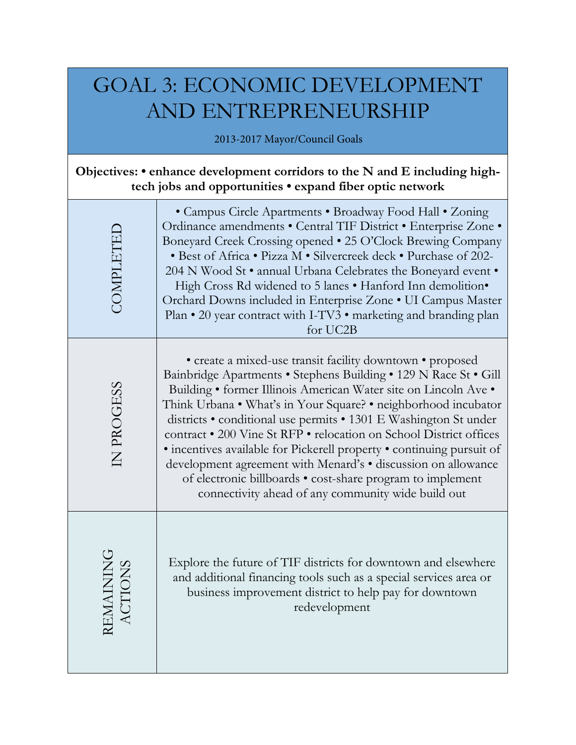# GOAL 3: ECONOMIC DEVELOPMENT AND ENTREPRENEURSHIP

2013-2017 Mayor/Council Goals

# **Objectives: • enhance development corridors to the N and E including hightech jobs and opportunities • expand fiber optic network**

| COMPLETEI            | • Campus Circle Apartments • Broadway Food Hall • Zoning<br>Ordinance amendments · Central TIF District · Enterprise Zone ·<br>Boneyard Creek Crossing opened . 25 O'Clock Brewing Company<br>• Best of Africa • Pizza M • Silvercreek deck • Purchase of 202-<br>204 N Wood St • annual Urbana Celebrates the Boneyard event •<br>High Cross Rd widened to 5 lanes . Hanford Inn demolition.<br>Orchard Downs included in Enterprise Zone . UI Campus Master<br>Plan • 20 year contract with I-TV3 • marketing and branding plan<br>for UC2B                                                                                                                              |
|----------------------|----------------------------------------------------------------------------------------------------------------------------------------------------------------------------------------------------------------------------------------------------------------------------------------------------------------------------------------------------------------------------------------------------------------------------------------------------------------------------------------------------------------------------------------------------------------------------------------------------------------------------------------------------------------------------|
| IN PROGESS           | • create a mixed-use transit facility downtown • proposed<br>Bainbridge Apartments · Stephens Building · 129 N Race St · Gill<br>Building • former Illinois American Water site on Lincoln Ave •<br>Think Urbana • What's in Your Square? • neighborhood incubator<br>districts • conditional use permits • 1301 E Washington St under<br>contract . 200 Vine St RFP . relocation on School District offices<br>• incentives available for Pickerell property • continuing pursuit of<br>development agreement with Menard's · discussion on allowance<br>of electronic billboards • cost-share program to implement<br>connectivity ahead of any community wide build out |
| REMAININC<br>ACTIONS | Explore the future of TIF districts for downtown and elsewhere<br>and additional financing tools such as a special services area or<br>business improvement district to help pay for downtown<br>redevelopment                                                                                                                                                                                                                                                                                                                                                                                                                                                             |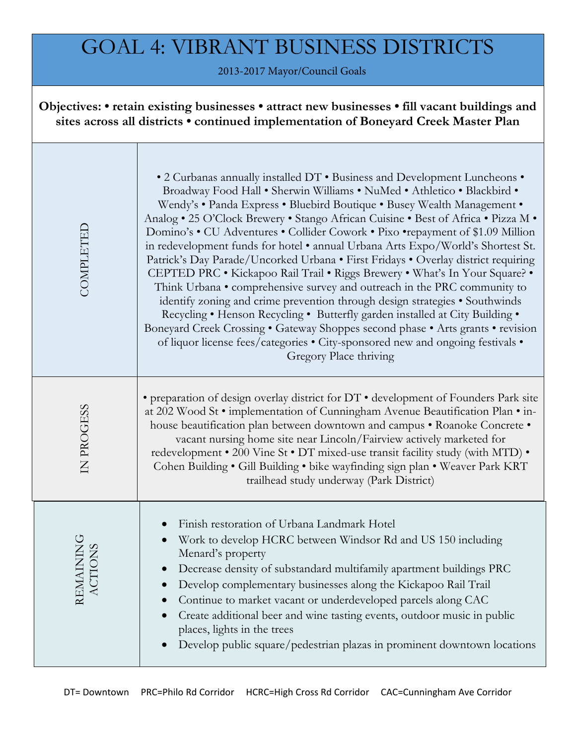# GOAL 4: VIBRANT BUSINESS DISTRICTS

2013-2017 Mayor/Council Goals

**Objectives: • retain existing businesses • attract new businesses • fill vacant buildings and sites across all districts • continued implementation of Boneyard Creek Master Plan**

| COMPLETED                                          | • 2 Curbanas annually installed DT . Business and Development Luncheons .<br>Broadway Food Hall . Sherwin Williams . NuMed . Athletico . Blackbird .<br>Wendy's . Panda Express . Bluebird Boutique . Busey Wealth Management .<br>Analog . 25 O'Clock Brewery . Stango African Cuisine . Best of Africa . Pizza M .<br>Domino's . CU Adventures . Collider Cowork . Pixo . repayment of \$1.09 Million<br>in redevelopment funds for hotel • annual Urbana Arts Expo/World's Shortest St.<br>Patrick's Day Parade/Uncorked Urbana . First Fridays . Overlay district requiring<br>CEPTED PRC . Kickapoo Rail Trail . Riggs Brewery . What's In Your Square? .<br>Think Urbana • comprehensive survey and outreach in the PRC community to<br>identify zoning and crime prevention through design strategies • Southwinds<br>Recycling . Henson Recycling . Butterfly garden installed at City Building .<br>Boneyard Creek Crossing . Gateway Shoppes second phase . Arts grants . revision<br>of liquor license fees/categories . City-sponsored new and ongoing festivals .<br>Gregory Place thriving |
|----------------------------------------------------|----------------------------------------------------------------------------------------------------------------------------------------------------------------------------------------------------------------------------------------------------------------------------------------------------------------------------------------------------------------------------------------------------------------------------------------------------------------------------------------------------------------------------------------------------------------------------------------------------------------------------------------------------------------------------------------------------------------------------------------------------------------------------------------------------------------------------------------------------------------------------------------------------------------------------------------------------------------------------------------------------------------------------------------------------------------------------------------------------------|
| IN PROGESS                                         | • preparation of design overlay district for DT • development of Founders Park site<br>at 202 Wood St • implementation of Cunningham Avenue Beautification Plan • in-<br>house beautification plan between downtown and campus . Roanoke Concrete .<br>vacant nursing home site near Lincoln/Fairview actively marketed for<br>redevelopment • 200 Vine St • DT mixed-use transit facility study (with MTD) •<br>Cohen Building . Gill Building . bike wayfinding sign plan . Weaver Park KRT<br>trailhead study underway (Park District)                                                                                                                                                                                                                                                                                                                                                                                                                                                                                                                                                                |
| <b>MAINING</b><br><b>CTIONS</b><br>REN<br>$\Delta$ | Finish restoration of Urbana Landmark Hotel<br>$\bullet$<br>Work to develop HCRC between Windsor Rd and US 150 including<br>$\bullet$<br>Menard's property<br>Decrease density of substandard multifamily apartment buildings PRC<br>Develop complementary businesses along the Kickapoo Rail Trail<br>Continue to market vacant or underdeveloped parcels along CAC<br>Create additional beer and wine tasting events, outdoor music in public<br>places, lights in the trees<br>Develop public square/pedestrian plazas in prominent downtown locations                                                                                                                                                                                                                                                                                                                                                                                                                                                                                                                                                |
| DT= Downtown                                       | PRC=Philo Rd Corridor<br>HCRC=High Cross Rd Corridor<br>CAC=Cunningham Ave Corridor                                                                                                                                                                                                                                                                                                                                                                                                                                                                                                                                                                                                                                                                                                                                                                                                                                                                                                                                                                                                                      |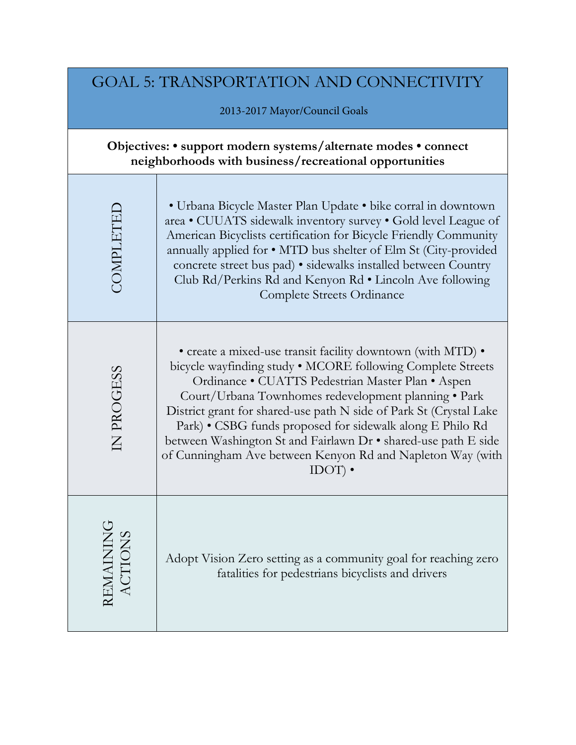| <b>GOAL 5: TRANSPORTATION AND CONNECTIVITY</b>                                                                           |                                                                                                                                                                                                                                                                                                                                                                                                                                                                                                                         |  |
|--------------------------------------------------------------------------------------------------------------------------|-------------------------------------------------------------------------------------------------------------------------------------------------------------------------------------------------------------------------------------------------------------------------------------------------------------------------------------------------------------------------------------------------------------------------------------------------------------------------------------------------------------------------|--|
|                                                                                                                          | 2013-2017 Mayor/Council Goals                                                                                                                                                                                                                                                                                                                                                                                                                                                                                           |  |
| Objectives: • support modern systems/alternate modes • connect<br>neighborhoods with business/recreational opportunities |                                                                                                                                                                                                                                                                                                                                                                                                                                                                                                                         |  |
| COMPLETEI                                                                                                                | • Urbana Bicycle Master Plan Update • bike corral in downtown<br>area • CUUATS sidewalk inventory survey • Gold level League of<br>American Bicyclists certification for Bicycle Friendly Community<br>annually applied for • MTD bus shelter of Elm St (City-provided<br>concrete street bus pad) • sidewalks installed between Country<br>Club Rd/Perkins Rd and Kenyon Rd • Lincoln Ave following<br>Complete Streets Ordinance                                                                                      |  |
| IN PROGESS                                                                                                               | • create a mixed-use transit facility downtown (with MTD) •<br>bicycle wayfinding study • MCORE following Complete Streets<br>Ordinance · CUATTS Pedestrian Master Plan · Aspen<br>Court/Urbana Townhomes redevelopment planning • Park<br>District grant for shared-use path N side of Park St (Crystal Lake<br>Park) • CSBG funds proposed for sidewalk along E Philo Rd<br>between Washington St and Fairlawn Dr • shared-use path E side<br>of Cunningham Ave between Kenyon Rd and Napleton Way (with<br>$IDOT$ ). |  |
| <b>REMAINING</b><br>ACTIONS                                                                                              | Adopt Vision Zero setting as a community goal for reaching zero<br>fatalities for pedestrians bicyclists and drivers                                                                                                                                                                                                                                                                                                                                                                                                    |  |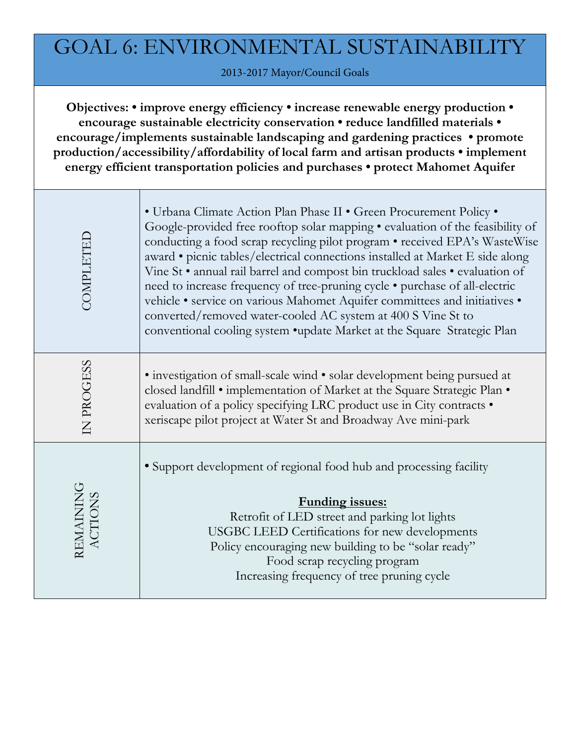# GOAL 6: ENVIRONMENTAL SUSTAINABILITY

2013-2017 Mayor/Council Goals

**Objectives: • improve energy efficiency • increase renewable energy production • encourage sustainable electricity conservation • reduce landfilled materials • encourage/implements sustainable landscaping and gardening practices • promote production/accessibility/affordability of local farm and artisan products • implement energy efficient transportation policies and purchases • protect Mahomet Aquifer**

| COMPLETED            | • Urbana Climate Action Plan Phase II • Green Procurement Policy •<br>Google-provided free rooftop solar mapping • evaluation of the feasibility of<br>conducting a food scrap recycling pilot program • received EPA's WasteWise<br>award • picnic tables/electrical connections installed at Market E side along<br>Vine St · annual rail barrel and compost bin truckload sales · evaluation of<br>need to increase frequency of tree-pruning cycle • purchase of all-electric<br>vehicle · service on various Mahomet Aquifer committees and initiatives ·<br>converted/removed water-cooled AC system at 400 S Vine St to<br>conventional cooling system .update Market at the Square Strategic Plan |
|----------------------|-----------------------------------------------------------------------------------------------------------------------------------------------------------------------------------------------------------------------------------------------------------------------------------------------------------------------------------------------------------------------------------------------------------------------------------------------------------------------------------------------------------------------------------------------------------------------------------------------------------------------------------------------------------------------------------------------------------|
| IN PROGESS           | • investigation of small-scale wind • solar development being pursued at<br>closed landfill • implementation of Market at the Square Strategic Plan •<br>evaluation of a policy specifying LRC product use in City contracts .<br>xeriscape pilot project at Water St and Broadway Ave mini-park                                                                                                                                                                                                                                                                                                                                                                                                          |
| REMAINING<br>ACTIONS | • Support development of regional food hub and processing facility<br><b>Funding issues:</b><br>Retrofit of LED street and parking lot lights<br>USGBC LEED Certifications for new developments<br>Policy encouraging new building to be "solar ready"<br>Food scrap recycling program<br>Increasing frequency of tree pruning cycle                                                                                                                                                                                                                                                                                                                                                                      |